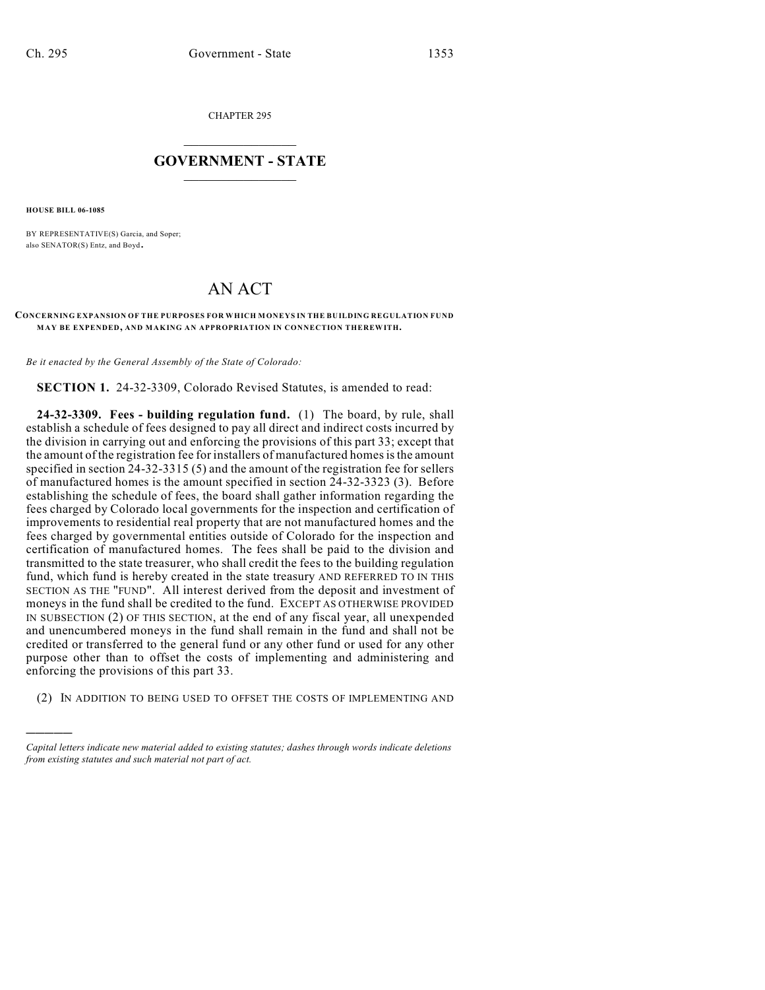CHAPTER 295

## $\overline{\phantom{a}}$  . The set of the set of the set of the set of the set of the set of the set of the set of the set of the set of the set of the set of the set of the set of the set of the set of the set of the set of the set o **GOVERNMENT - STATE**  $\_$

**HOUSE BILL 06-1085**

)))))

BY REPRESENTATIVE(S) Garcia, and Soper; also SENATOR(S) Entz, and Boyd.

## AN ACT

## **CONCERNING EXPANSION OF THE PURPOSES FOR WHICH MONEYS IN THE BUILDING REGULATION FUND MAY BE EXPENDED, AND MAKING AN APPROPRIATION IN CONNECTION THEREWITH.**

*Be it enacted by the General Assembly of the State of Colorado:*

**SECTION 1.** 24-32-3309, Colorado Revised Statutes, is amended to read:

**24-32-3309. Fees - building regulation fund.** (1) The board, by rule, shall establish a schedule of fees designed to pay all direct and indirect costs incurred by the division in carrying out and enforcing the provisions of this part 33; except that the amount of the registration fee for installers of manufactured homes is the amount specified in section 24-32-3315 (5) and the amount of the registration fee for sellers of manufactured homes is the amount specified in section 24-32-3323 (3). Before establishing the schedule of fees, the board shall gather information regarding the fees charged by Colorado local governments for the inspection and certification of improvements to residential real property that are not manufactured homes and the fees charged by governmental entities outside of Colorado for the inspection and certification of manufactured homes. The fees shall be paid to the division and transmitted to the state treasurer, who shall credit the fees to the building regulation fund, which fund is hereby created in the state treasury AND REFERRED TO IN THIS SECTION AS THE "FUND". All interest derived from the deposit and investment of moneys in the fund shall be credited to the fund. EXCEPT AS OTHERWISE PROVIDED IN SUBSECTION (2) OF THIS SECTION, at the end of any fiscal year, all unexpended and unencumbered moneys in the fund shall remain in the fund and shall not be credited or transferred to the general fund or any other fund or used for any other purpose other than to offset the costs of implementing and administering and enforcing the provisions of this part 33.

(2) IN ADDITION TO BEING USED TO OFFSET THE COSTS OF IMPLEMENTING AND

*Capital letters indicate new material added to existing statutes; dashes through words indicate deletions from existing statutes and such material not part of act.*